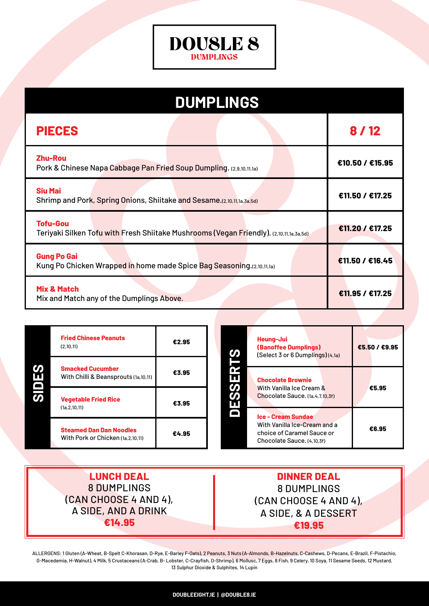

| <b>DUMPLINGS</b>                                                                                           |                 |  |  |  |
|------------------------------------------------------------------------------------------------------------|-----------------|--|--|--|
| <b>PIECES</b>                                                                                              | 8/12            |  |  |  |
| <b>Zhu-Rou</b><br>Pork & Chinese Napa Cabbage Pan Fried Soup Dumpling. (2,9,10,11,1a)                      | €10.50 / €15.95 |  |  |  |
| <b>Siu Mai</b><br>Shrimp and Pork, Spring Onions, Shiitake and Sesame.(2,10,11,1a,3a,5d)                   | €11.50 / €17.25 |  |  |  |
| <b>Tofu-Gou</b><br>Teriyaki Silken Tofu with Fresh Shiitake Mushrooms (Vegan Friendly). (2,10,11,1a,3a,5d) | €11.20 / €17.25 |  |  |  |
| <b>Gung Po Gai</b><br>Kung Po Chicken Wrapped in home made Spice Bag Seasoning.(2,10,11,1a)                | €11.50 / €16.45 |  |  |  |
| <b>Mix &amp; Match</b><br>Mix and Match any of the Dumplings Above.                                        | €11.95 / €17.25 |  |  |  |

|                          | <b>Fried Chinese Peanuts</b><br>(2,10,11)                           | €2.95 | Heung-Jui<br><b>(Banoffee Dumplings)</b><br>ဟ<br>(Select 3 or 6 Dumplings)(4,1a)                                      | €5.50 / €9.95 |
|--------------------------|---------------------------------------------------------------------|-------|-----------------------------------------------------------------------------------------------------------------------|---------------|
| ဟ<br>ш<br>$\blacksquare$ | <b>Smacked Cucumber</b><br>With Chilli & Beansprouts (1a,10,11)     | €3.95 | П<br><b>Chocolate Brownie</b><br><u>ທ</u>                                                                             |               |
| <u>ທ</u>                 | <b>Vegetable Fried Rice</b><br>(1a.2.10.11)                         | €3.95 | With Vanilla Ice Cream &<br>S<br>Chocolate Sauce. (1a.4.7.10.3f)<br>П                                                 | €5.95         |
|                          | <b>Steamed Dan Dan Noodles</b><br>With Pork or Chicken (1a.2.10.11) | €4.95 | <b>Ice - Cream Sundae</b><br>With Vanilla Ice-Cream and a<br>choice of Caramel Sauce or<br>Chocolate Sauce, (4,10,3f) | €6.95         |

**LUNCH DEAL** 8 DUMPLINGS (CAN CHOOSE 4 AND 4), A SIDE, AND A DRINK **€14.95**

**DINNER DEAL** 8 DUMPLINGS (CAN CHOOSE 4 AND 4), A SIDE, & A DESSERT **€19.95**

ALLERGENS: 1 Gluten (A-Wheat, B-Spelt C-Khorasan, D-Rye, E-Barley F-Oats), 2 Peanuts, 3 Nuts (A-Almonds, B-Hazelnuts, C-Cashews, D-Pecans, E-Brazil, F-Pistachio, G-Macedemia, H-Walnut), 4 Milk, 5 Crustaceans (A-Crab, B- Lobster, C-Crayfish, D-Shrimp), 6 Mollusc, 7 Eggs, 8 Fish, 9 Celery, 10 Soya, 11 Sesame Seeds, 12 Mustard, 13 Sulphur Dioxide & Sulphites, 14 Lupin